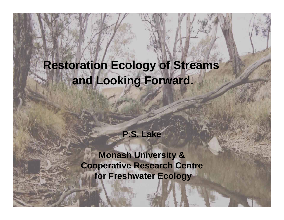#### **Restoration Ecology of Streams and Looking Forward.**

#### **P.S. Lake**

**Monash University & Cooperative Research Centre for Freshwater Ecology**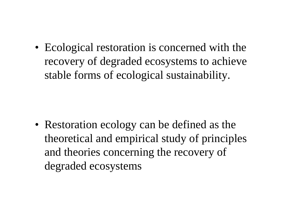• Ecological restoration is concerned with the recovery of degraded ecosystems to achieve stable forms of ecological sustainability.

• Restoration ecology can be defined as the theoretical and empirical study of principles and theories concerning the recovery of degraded ecosystems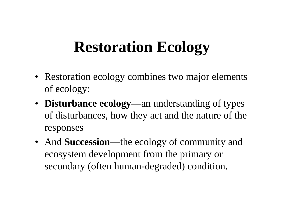#### **Restoration Ecology**

- Restoration ecology combines two major elements of ecology:
- **Disturbance ecology**—an understanding of types of disturbances, how they act and the nature of the responses
- And **Succession**—the ecology of community and ecosystem development from the primary or secondary (often human-degraded) condition.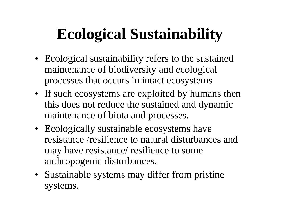## **Ecological Sustainability**

- Ecological sustainability refers to the sustained maintenance of biodiversity and ecological processes that occurs in intact ecosystems
- If such ecosystems are exploited by humans then this does not reduce the sustained and dynamic maintenance of biota and processes.
- Ecologically sustainable ecosystems have resistance /resilience to natural disturbances and may have resistance/ resilience to some anthropogenic disturbances.
- Sustainable systems may differ from pristine systems.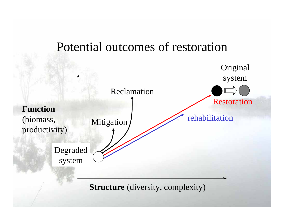#### Potential outcomes of restoration

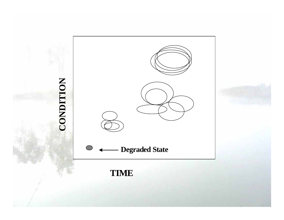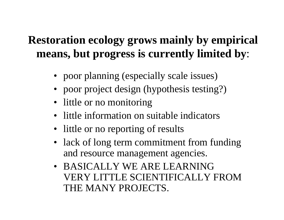#### **Restoration ecology grows mainly by empirical means, but progress is currently limited by**:

- poor planning (especially scale issues)
- poor project design (hypothesis testing?)
- little or no monitoring
- little information on suitable indicators
- little or no reporting of results
- lack of long term commitment from funding and resource management agencies.
- BASICALLY WE ARE LEARNING VERY LITTLE SCIENTIFICALLY FROM THE MANY PROJECTS.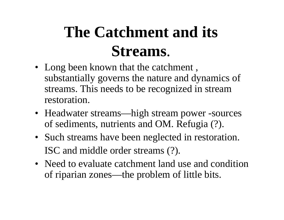## **The Catchment and its Streams** .

- Long been known that the catchment, substantially governs the nature and dynamics of streams. This needs to be recognized in stream restoration.
- Headwater streams—high stream power -sources of sediments, nutrients and OM. Refugia (?).
- Such streams have been neglected in restoration. ISC and middle order streams (?).
- Need to evaluate catchment land use and condition of riparian zones—the problem of little bits.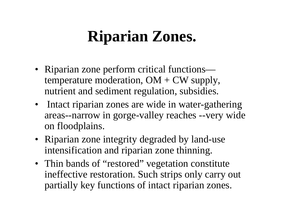### **Riparian Zones.**

- Riparian zone perform critical functions temperature moderation,  $OM + CW$  supply, nutrient and sediment regulation, subsidies.
- Intact riparian zones are wide in water-gathering areas--narrow in gorge-valley reaches --very wide on floodplains.
- Riparian zone integrity degraded by land-use intensification and riparian zone thinning.
- Thin bands of "restored" vegetation constitute ineffective restoration. Such strips only carry out partially key functions of intact riparian zones.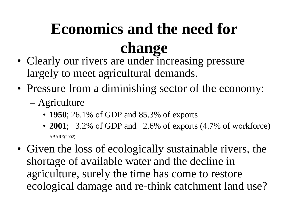## **Economics and the need for change**

- Clearly our rivers are under increasing pressure largely to meet agricultural demands.
- Pressure from a diminishing sector of the economy:
	- Agriculture
		- **1950**; 26.1% of GDP and 85.3% of exports
		- **2001**; 3.2% of GDP and 2.6% of exports (4.7% of workforce) ABARE(2002)
- Given the loss of ecologically sustainable rivers, the shortage of available water and the decline in agriculture, surely the time has come to restore ecological damage and re-think catchment land use?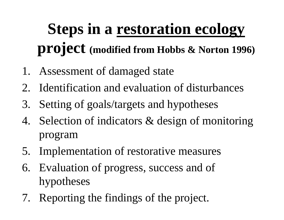# **Steps in a restoration ecology project (modified from Hobbs & Norton 1996)**

- 1. Assessment of damaged state
- 2. Identification and evaluation of disturbances
- 3. Setting of goals/targets and hypotheses
- 4. Selection of indicators & design of monitoring program
- 5. Implementation of restorative measures
- 6. Evaluation of progress, success and of hypotheses
- 7. Reporting the findings of the project.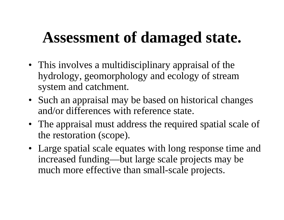### **Assessment of damaged state.**

- This involves a multidisciplinary appraisal of the hydrology, geomorphology and ecology of stream system and catchment.
- Such an appraisal may be based on historical changes and/or differences with reference state.
- The appraisal must address the required spatial scale of the restoration (scope).
- Large spatial scale equates with long response time and increased funding—but large scale projects may be much more effective than small-scale projects.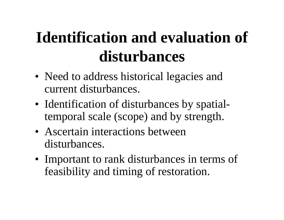## **Identification and evaluation of disturbances**

- Need to address historical legacies and current disturbances.
- Identification of disturbances by spatialtemporal scale (scope) and by strength.
- Ascertain interactions between disturbances.
- Important to rank disturbances in terms of feasibility and timing of restoration.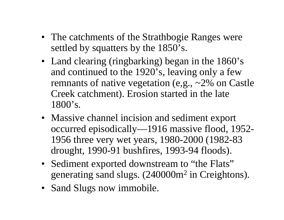- The catchments of the Strathbogie Ranges were settled by squatters by the 1850's.
- Land clearing (ringbarking) began in the 1860's and continued to the 1920's, leaving only a few remnants of native vegetation (e,g.,  $\sim$ 2% on Castle Creek catchment). Erosion started in the late 1800's.
- Massive channel incision and sediment export occurred episodically—1916 massive flood, 1952- 1956 three very wet years, 1980-2000 (1982-83 drought, 1990-91 bushfires, 1993-94 floods).
- Sediment exported downstream to "the Flats" generating sand slugs. (240000m 2 in Creightons).
- Sand Slugs now immobile.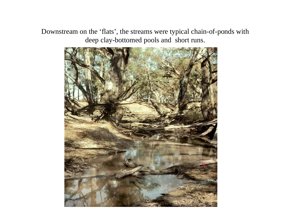Downstream on the 'flats', the streams were typical chain-of-ponds with deep clay-bottomed pools and short runs.

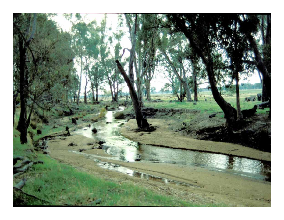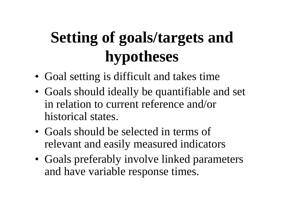## **Setting of goals/targets and hypotheses**

- Goal setting is difficult and takes time
- Goals should ideally be quantifiable and set in relation to current reference and/or historical states.
- Goals should be selected in terms of relevant and easily measured indicators
- Goals preferably involve linked parameters and have variable response times.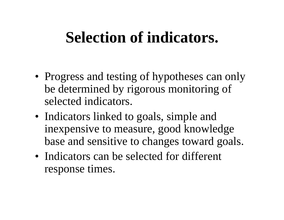#### **Selection of indicators.**

- Progress and testing of hypotheses can only be determined by rigorous monitoring of selected indicators.
- Indicators linked to goals, simple and inexpensive to measure, good knowledge base and sensitive to changes toward goals.
- Indicators can be selected for different response times.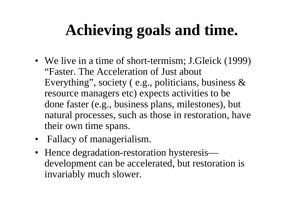## **Achieving goals and time.**

- We live in a time of short-termism; J.Gleick (1999) "Faster. The Acceleration of Just about Everything", society ( e.g., politicians, business & resource managers etc) expects activities to be done faster (e.g., business plans, milestones), but natural processes, such as those in restoration, have their own time spans.
- Fallacy of managerialism.
- Hence degradation-restoration hysteresis development can be accelerated, but restoration is invariably much slower.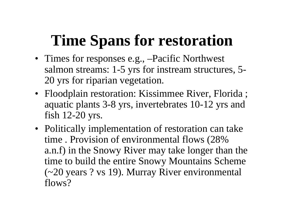## **Time Spans for restoration**

- Times for responses e.g., -Pacific Northwest salmon streams: 1-5 yrs for instream structures, 5- 20 yrs for riparian vegetation.
- Floodplain restoration: Kissimmee River, Florida ; aquatic plants 3-8 yrs, invertebrates 10-12 yrs and fish 12-20 yrs.
- Politically implementation of restoration can take time . Provision of environmental flows (28% a.n.f) in the Snowy River may take longer than the time to build the entire Snowy Mountains Scheme (~20 years ? vs 19). Murray River environmental flows?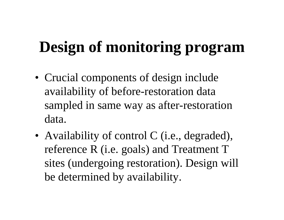### **Design of monitoring program**

- Crucial components of design include availability of before-restoration data sampled in same way as after-restoration data.
- Availability of control C (i.e., degraded), reference R (i.e. goals) and Treatment T sites (undergoing restoration). Design will be determined by availability.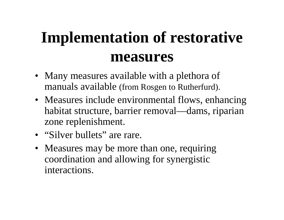## **Implementation of restorative measures**

- Many measures available with a plethora of manuals available (from Rosgen to Rutherfurd).
- Measures include environmental flows, enhancing habitat structure, barrier removal—dams, riparian zone replenishment.
- "Silver bullets" are rare.
- Measures may be more than one, requiring coordination and allowing for synergistic interactions.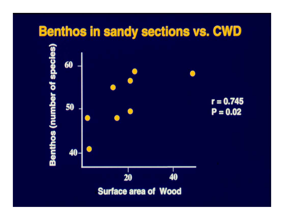#### **Benthos in sandy sections vs. CWD**

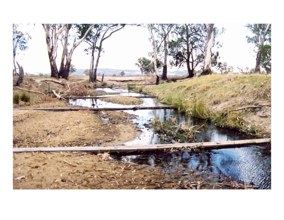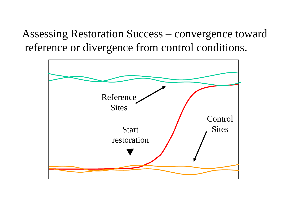Assessing Restoration Success – convergence toward reference or divergence from control conditions.

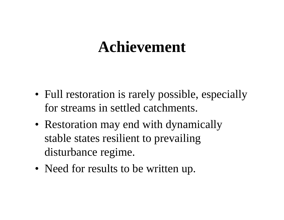#### **Achievement**

- Full restoration is rarely possible, especially for streams in settled catchments.
- Restoration may end with dynamically stable states resilient to prevailing disturbance regime.
- Need for results to be written up.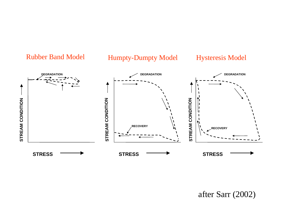#### Rubber Band Model

#### Humpty-Dumpty Model Hysteresis Model



after Sarr (2002)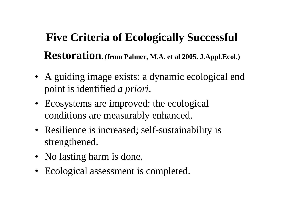#### **Five Criteria of Ecologically Successful Restoration. (from Palmer, M.A. et al 2005. J.Appl.Ecol.)**

- A guiding image exists: a dynamic ecological end point is identified *a priori*.
- Ecosystems are improved: the ecological conditions are measurably enhanced.
- Resilience is increased; self-sustainability is strengthened.
- No lasting harm is done.
- Ecological assessment is completed.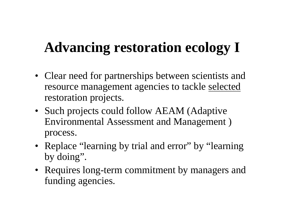#### **Advancing restoration ecology I**

- Clear need for partnerships between scientists and resource management agencies to tackle selected restoration projects.
- Such projects could follow AEAM (Adaptive Environmental Assessment and Management ) process.
- Replace "learning by trial and error" by "learning by doing".
- Requires long-term commitment by managers and funding agencies.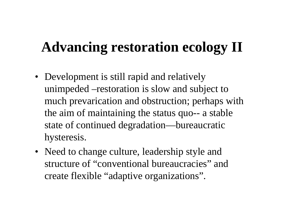#### **Advancing restoration ecology II**

- Development is still rapid and relatively unimpeded –restoration is slow and subject to much prevarication and obstruction; perhaps with the aim of maintaining the status quo-- a stable state of continued degradation—bureaucratic hysteresis.
- Need to change culture, leadership style and structure of "conventional bureaucracies" and create flexible "adaptive organizations".